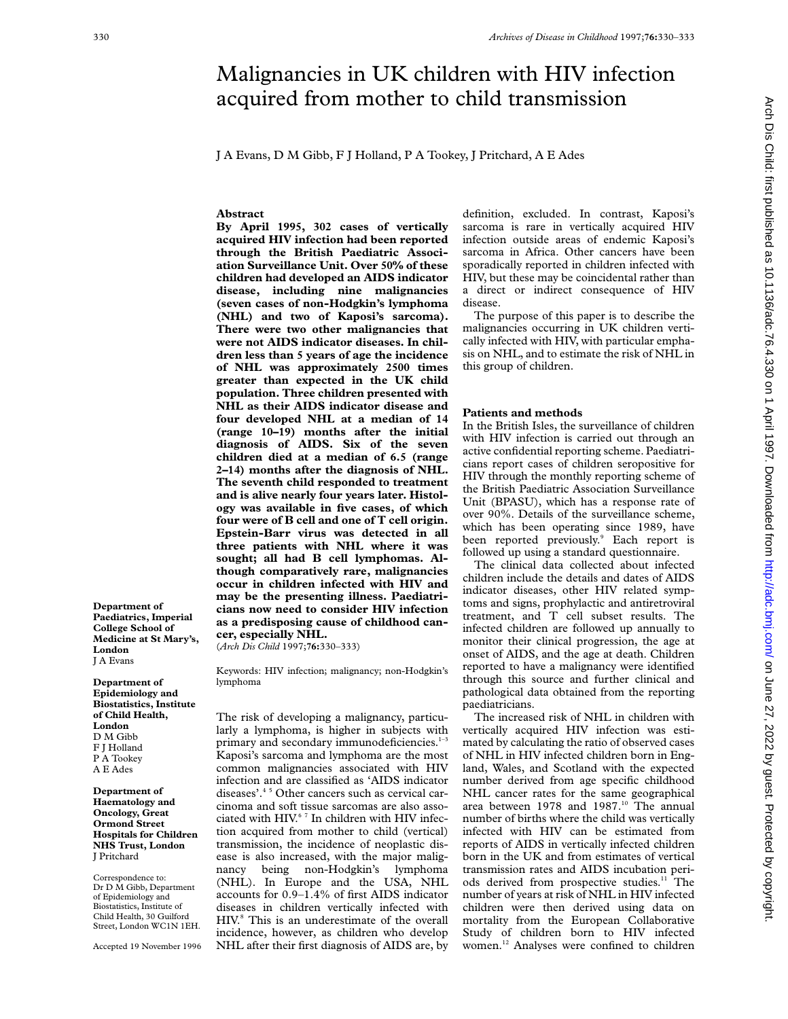# Malignancies in UK children with HIV infection acquired from mother to child transmission

J A Evans, D M Gibb, F J Holland, P A Tookey, J Pritchard, A E Ades

# **Abstract**

**By April 1995, 302 cases of vertically acquired HIV infection had been reported through the British Paediatric Association Surveillance Unit. Over 50% of these children had developed an AIDS indicator disease, including nine malignancies (seven cases of non-Hodgkin's lymphoma (NHL) and two of Kaposi's sarcoma). There were two other malignancies that were not AIDS indicator diseases. In children less than 5 years of age the incidence of NHL was approximately 2500 times greater than expected in the UK child population. Three children presented with NHL as their AIDS indicator disease and four developed NHL at a median of 14 (range 10–19) months after the initial diagnosis of AIDS. Six of the seven children died at a median of 6.5 (range 2–14) months after the diagnosis of NHL. The seventh child responded to treatment and is alive nearly four years later. Histology was available in five cases, of which four were of B cell and one of T cell origin. Epstein-Barr virus was detected in all three patients with NHL where it was sought; all had B cell lymphomas. Although comparatively rare, malignancies occur in children infected with HIV and may be the presenting illness. Paediatricians now need to consider HIV infection as a predisposing cause of childhood cancer, especially NHL.**

(*Arch Dis Child* 1997;**76:**330–333)

Keywords: HIV infection; malignancy; non-Hodgkin's lymphoma

The risk of developing a malignancy, particularly a lymphoma, is higher in subjects with primary and secondary immunodeficiencies.<sup>1-3</sup> Kaposi's sarcoma and lymphoma are the most common malignancies associated with HIV infection and are classified as 'AIDS indicator diseases'.4 5 Other cancers such as cervical carcinoma and soft tissue sarcomas are also associated with HIV.<sup>67</sup> In children with HIV infection acquired from mother to child (vertical) transmission, the incidence of neoplastic disease is also increased, with the major malignancy being non-Hodgkin's lymphoma (NHL). In Europe and the USA, NHL accounts for 0.9–1.4% of first AIDS indicator diseases in children vertically infected with HIV.8 This is an underestimate of the overall incidence, however, as children who develop NHL after their first diagnosis of AIDS are, by

definition, excluded. In contrast, Kaposi's sarcoma is rare in vertically acquired HIV infection outside areas of endemic Kaposi's sarcoma in Africa. Other cancers have been sporadically reported in children infected with HIV, but these may be coincidental rather than a direct or indirect consequence of HIV disease.

The purpose of this paper is to describe the malignancies occurring in UK children vertically infected with HIV, with particular emphasis on NHL, and to estimate the risk of NHL in this group of children.

#### **Patients and methods**

In the British Isles, the surveillance of children with HIV infection is carried out through an active confidential reporting scheme. Paediatricians report cases of children seropositive for HIV through the monthly reporting scheme of the British Paediatric Association Surveillance Unit (BPASU), which has a response rate of over 90%. Details of the surveillance scheme, which has been operating since 1989, have been reported previously.<sup>9</sup> Each report is followed up using a standard questionnaire.

The clinical data collected about infected children include the details and dates of AIDS indicator diseases, other HIV related symptoms and signs, prophylactic and antiretroviral treatment, and T cell subset results. The infected children are followed up annually to monitor their clinical progression, the age at onset of AIDS, and the age at death. Children reported to have a malignancy were identified through this source and further clinical and pathological data obtained from the reporting paediatricians.

The increased risk of NHL in children with vertically acquired HIV infection was estimated by calculating the ratio of observed cases of NHL in HIV infected children born in England, Wales, and Scotland with the expected number derived from age specific childhood NHL cancer rates for the same geographical area between 1978 and 1987.<sup>10</sup> The annual number of births where the child was vertically infected with HIV can be estimated from reports of AIDS in vertically infected children born in the UK and from estimates of vertical transmission rates and AIDS incubation periods derived from prospective studies.<sup>11</sup> The number of years at risk of NHL in HIV infected children were then derived using data on mortality from the European Collaborative Study of children born to HIV infected women.12 Analyses were confined to children

**Paediatrics, Imperial College School of Medicine at St Mary's, London** J A Evans

**Department of**

**Department of Epidemiology and Biostatistics, Institute of Child Health, London** D M Gibb F J Holland P A Tookey A E Ades

**Department of Haematology and Oncology, Great Ormond Street Hospitals for Children NHS Trust, London** J Pritchard

Correspondence to: Dr D M Gibb, Department of Epidemiology and Biostatistics, Institute of Child Health, 30 Guilford Street, London WC1N 1EH.

Accepted 19 November 1996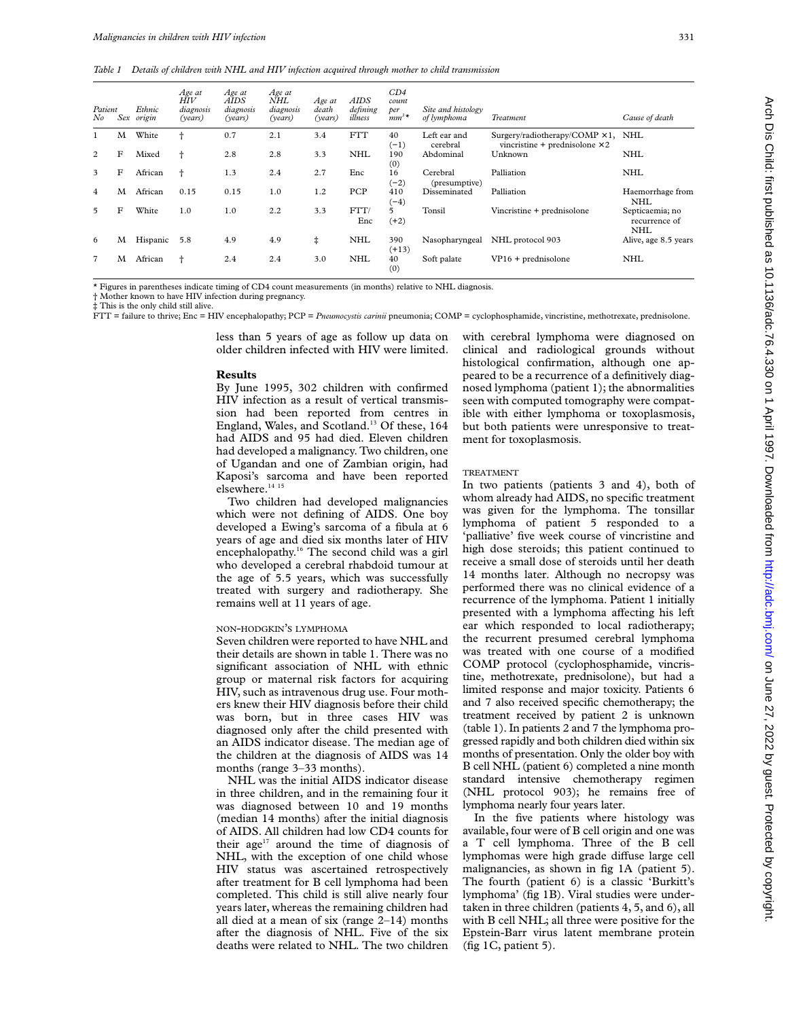*Table 1 Details of children with NHL and HIV infection acquired through mother to child transmission*

| Patient<br>No  | Sex | Ethnic<br>origin | Age at<br>HIV<br>diagnosis<br>(vears) | Age at<br>AIDS<br>diagnosis<br>(vears) | Age at<br>NHL<br>diagnosis<br>(vears) | Age at<br>death<br>(years) | <b>AIDS</b><br>defining<br>illness | CD4<br>count<br>per<br>$\hat{m}^{3*}$ | Site and histology<br>of lymphoma | Treatment                                                                          | Cause of death                                 |
|----------------|-----|------------------|---------------------------------------|----------------------------------------|---------------------------------------|----------------------------|------------------------------------|---------------------------------------|-----------------------------------|------------------------------------------------------------------------------------|------------------------------------------------|
|                | M   | White            |                                       | 0.7                                    | 2.1                                   | 3.4                        | <b>FTT</b>                         | 40<br>$(-1)$                          | Left ear and<br>cerebral          | Surgery/radiotherapy/COMP $\times$ 1, NHL<br>vincristine + prednisolone $\times$ 2 |                                                |
| 2              | F   | Mixed            |                                       | 2.8                                    | 2.8                                   | 3.3                        | <b>NHL</b>                         | 190<br>(0)                            | Abdominal                         | Unknown                                                                            | <b>NHL</b>                                     |
| 3              | F   | African          |                                       | 1.3                                    | 2.4                                   | 2.7                        | Enc                                | 16<br>$(-2)$                          | Cerebral<br>(presumptive)         | Palliation                                                                         | <b>NHL</b>                                     |
| 4              | M   | African          | 0.15                                  | 0.15                                   | 1.0                                   | 1.2                        | PCP                                | 410<br>$(-4)$                         | Disseminated                      | Palliation                                                                         | Haemorrhage from<br><b>NHL</b>                 |
| 5              | F   | White            | 1.0                                   | 1.0                                    | 2.2                                   | 3.3                        | FTT/<br>Enc                        | 5<br>$(+2)$                           | Tonsil                            | Vincristine + prednisolone                                                         | Septicaemia; no<br>recurrence of<br><b>NHL</b> |
| 6              | М   | Hispanic         | 5.8                                   | 4.9                                    | 4.9                                   | ŧ                          | <b>NHL</b>                         | 390<br>$(+13)$                        | Nasopharyngeal                    | NHL protocol 903                                                                   | Alive, age 8.5 years                           |
| $\overline{7}$ | M   | African          | ÷                                     | 2.4                                    | 2.4                                   | 3.0                        | <b>NHL</b>                         | 40<br>(0)                             | Soft palate                       | $VP16 + prednisolone$                                                              | <b>NHL</b>                                     |

\* Figures in parentheses indicate timing of CD4 count measurements (in months) relative to NHL diagnosis.

† Mother known to have HIV infection during pregnancy.

‡ This is the only child still alive.

FTT = failure to thrive; Enc = HIV encephalopathy; PCP = *Pneumocystis carinii* pneumonia; COMP = cyclophosphamide, vincristine, methotrexate, prednisolone.

less than 5 years of age as follow up data on older children infected with HIV were limited.

#### **Results**

By June 1995, 302 children with confirmed HIV infection as a result of vertical transmission had been reported from centres in England, Wales, and Scotland.<sup>13</sup> Of these, 164 had AIDS and 95 had died. Eleven children had developed a malignancy. Two children, one of Ugandan and one of Zambian origin, had Kaposi's sarcoma and have been reported elsewhere.<sup>14 15</sup>

Two children had developed malignancies which were not defining of AIDS. One boy developed a Ewing's sarcoma of a fibula at 6 years of age and died six months later of HIV encephalopathy.16 The second child was a girl who developed a cerebral rhabdoid tumour at the age of 5.5 years, which was successfully treated with surgery and radiotherapy. She remains well at 11 years of age.

# NON-HODGKIN'S LYMPHOMA

Seven children were reported to have NHL and their details are shown in table 1. There was no significant association of NHL with ethnic group or maternal risk factors for acquiring HIV, such as intravenous drug use. Four mothers knew their HIV diagnosis before their child was born, but in three cases HIV was diagnosed only after the child presented with an AIDS indicator disease. The median age of the children at the diagnosis of AIDS was 14 months (range 3–33 months).

NHL was the initial AIDS indicator disease in three children, and in the remaining four it was diagnosed between 10 and 19 months (median 14 months) after the initial diagnosis of AIDS. All children had low CD4 counts for their age<sup>17</sup> around the time of diagnosis of NHL, with the exception of one child whose HIV status was ascertained retrospectively after treatment for B cell lymphoma had been completed. This child is still alive nearly four years later, whereas the remaining children had all died at a mean of six (range 2–14) months after the diagnosis of NHL. Five of the six deaths were related to NHL. The two children

with cerebral lymphoma were diagnosed on clinical and radiological grounds without histological confirmation, although one appeared to be a recurrence of a definitively diagnosed lymphoma (patient 1); the abnormalities seen with computed tomography were compatible with either lymphoma or toxoplasmosis, but both patients were unresponsive to treatment for toxoplasmosis.

#### TREATMENT

In two patients (patients 3 and 4), both of whom already had AIDS, no specific treatment was given for the lymphoma. The tonsillar lymphoma of patient 5 responded to a 'palliative' five week course of vincristine and high dose steroids; this patient continued to receive a small dose of steroids until her death 14 months later. Although no necropsy was performed there was no clinical evidence of a recurrence of the lymphoma. Patient 1 initially presented with a lymphoma affecting his left ear which responded to local radiotherapy; the recurrent presumed cerebral lymphoma was treated with one course of a modified COMP protocol (cyclophosphamide, vincristine, methotrexate, prednisolone), but had a limited response and major toxicity. Patients 6 and 7 also received specific chemotherapy; the treatment received by patient 2 is unknown (table 1). In patients 2 and 7 the lymphoma progressed rapidly and both children died within six months of presentation. Only the older boy with B cell NHL (patient 6) completed a nine month standard intensive chemotherapy regimen (NHL protocol 903); he remains free of lymphoma nearly four years later.

In the five patients where histology was available, four were of B cell origin and one was a T cell lymphoma. Three of the B cell lymphomas were high grade diffuse large cell malignancies, as shown in fig 1A (patient 5). The fourth (patient 6) is a classic 'Burkitt's lymphoma' (fig 1B). Viral studies were undertaken in three children (patients 4, 5, and 6), all with B cell NHL; all three were positive for the Epstein-Barr virus latent membrane protein (fig 1C, patient 5).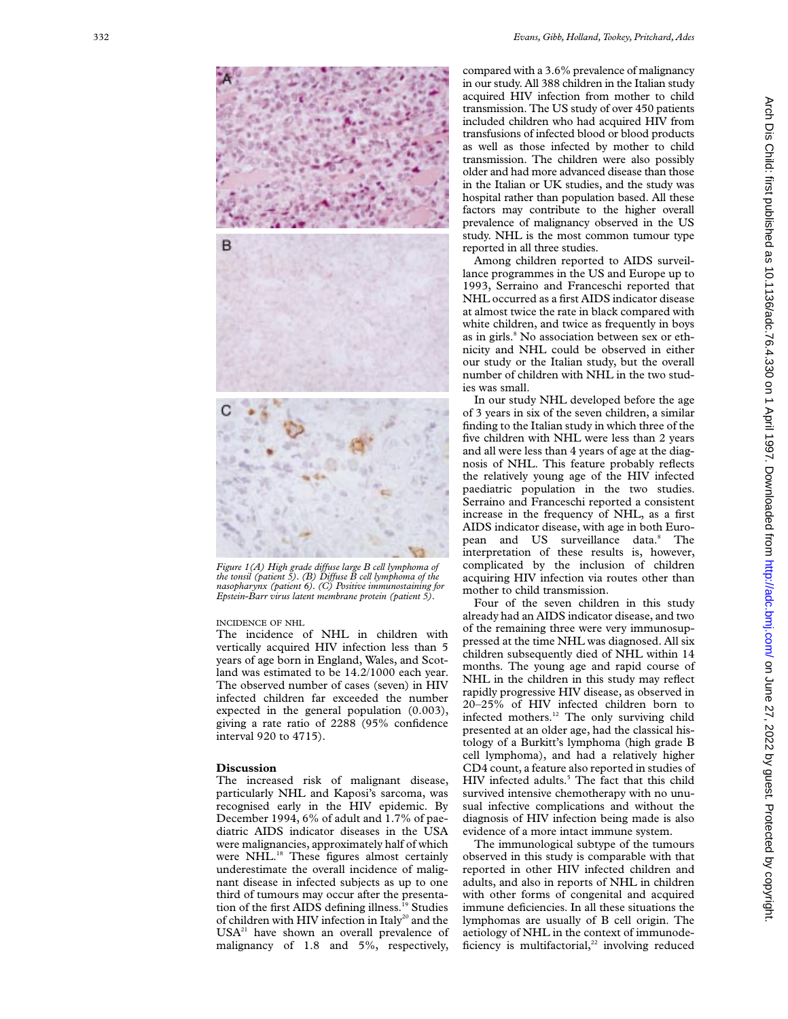

*Figure 1(A) High grade diffuse large B cell lymphoma of the tonsil (patient 5). (B) DiVuse B cell lymphoma of the nasopharynx (patient 6). (C) Positive immunostaining for Epstein-Barr virus latent membrane protein (patient 5).*

## INCIDENCE OF NHL

The incidence of NHL in children with vertically acquired HIV infection less than 5 years of age born in England, Wales, and Scotland was estimated to be 14.2/1000 each year. The observed number of cases (seven) in HIV infected children far exceeded the number expected in the general population (0.003), giving a rate ratio of 2288 (95% confidence interval 920 to 4715).

### **Discussion**

The increased risk of malignant disease, particularly NHL and Kaposi's sarcoma, was recognised early in the HIV epidemic. By December 1994, 6% of adult and 1.7% of paediatric AIDS indicator diseases in the USA were malignancies, approximately half of which were NHL.<sup>18</sup> These figures almost certainly underestimate the overall incidence of malignant disease in infected subjects as up to one third of tumours may occur after the presentation of the first AIDS defining illness.<sup>19</sup> Studies of children with HIV infection in Italy<sup>20</sup> and the  $USA<sup>21</sup>$  have shown an overall prevalence of malignancy of 1.8 and 5%, respectively, compared with a 3.6% prevalence of malignancy in our study. All 388 children in the Italian study acquired HIV infection from mother to child transmission. The US study of over 450 patients included children who had acquired HIV from transfusions of infected blood or blood products as well as those infected by mother to child transmission. The children were also possibly older and had more advanced disease than those in the Italian or UK studies, and the study was hospital rather than population based. All these factors may contribute to the higher overall prevalence of malignancy observed in the US study. NHL is the most common tumour type reported in all three studies.

Among children reported to AIDS surveillance programmes in the US and Europe up to 1993, Serraino and Franceschi reported that NHL occurred as a first AIDS indicator disease at almost twice the rate in black compared with white children, and twice as frequently in boys as in girls. <sup>8</sup> No association between sex or ethnicity and NHL could be observed in either our study or the Italian study, but the overall number of children with NHL in the two studies was small.

In our study NHL developed before the age of 3 years in six of the seven children, a similar finding to the Italian study in which three of the five children with NHL were less than 2 years and all were less than 4 years of age at the diagnosis of NHL. This feature probably reflects the relatively young age of the HIV infected paediatric population in the two studies. Serraino and Franceschi reported a consistent increase in the frequency of NHL, as a first AIDS indicator disease, with age in both European and US surveillance data.<sup>8</sup> The interpretation of these results is, however, complicated by the inclusion of children acquiring HIV infection via routes other than mother to child transmission.

Four of the seven children in this study already had an AIDS indicator disease, and two of the remaining three were very immunosuppressed at the time NHL was diagnosed. All six children subsequently died of NHL within 14 months. The young age and rapid course of NHL in the children in this study may reflect rapidly progressive HIV disease, as observed in 20–25% of HIV infected children born to infected mothers.<sup>12</sup> The only surviving child presented at an older age, had the classical histology of a Burkitt's lymphoma (high grade B cell lymphoma), and had a relatively higher CD4 count, a feature also reported in studies of HIV infected adults. <sup>5</sup> The fact that this child survived intensive chemotherapy with no unusual infective complications and without the diagnosis of HIV infection being made is also evidence of a more intact immune system.

The immunological subtype of the tumours observed in this study is comparable with that reported in other HIV infected children and adults, and also in reports of NHL in children with other forms of congenital and acquired immune deficiencies. In all these situations the lymphomas are usually of B cell origin. The aetiology of NHL in the context of immunodeficiency is multifactorial, $22$  involving reduced